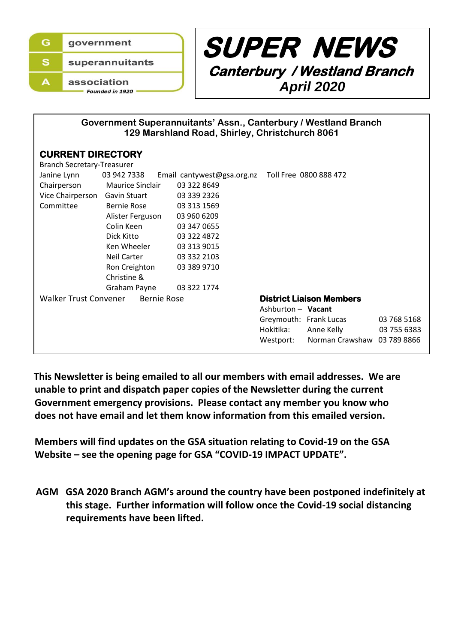



| Government Superannuitants' Assn., Canterbury / Westland Branch |
|-----------------------------------------------------------------|
| 129 Marshland Road, Shirley, Christchurch 8061                  |

# **CURRENT DIRECTORY**

| <b>Branch Secretary-Treasurer</b>           |                  |                            |                    |                                 |             |  |  |  |
|---------------------------------------------|------------------|----------------------------|--------------------|---------------------------------|-------------|--|--|--|
| Janine Lynn                                 | 03 942 7338      | Email cantywest@gsa.org.nz |                    | Toll Free 0800 888 472          |             |  |  |  |
| Chairperson                                 | Maurice Sinclair | 03 322 8649                |                    |                                 |             |  |  |  |
| Vice Chairperson                            | Gavin Stuart     | 03 339 2326                |                    |                                 |             |  |  |  |
| Committee                                   | Bernie Rose      | 03 313 1569                |                    |                                 |             |  |  |  |
|                                             | Alister Ferguson | 03 960 6209                |                    |                                 |             |  |  |  |
|                                             | Colin Keen       | 03 347 0655                |                    |                                 |             |  |  |  |
|                                             | Dick Kitto       | 03 322 4872                |                    |                                 |             |  |  |  |
|                                             | Ken Wheeler      | 03 313 9015                |                    |                                 |             |  |  |  |
|                                             | Neil Carter      | 03 332 2103                |                    |                                 |             |  |  |  |
|                                             | Ron Creighton    | 03 389 9710                |                    |                                 |             |  |  |  |
| Christine &                                 |                  |                            |                    |                                 |             |  |  |  |
|                                             | Graham Payne     | 03 322 1774                |                    |                                 |             |  |  |  |
| <b>Walker Trust Convener</b><br>Bernie Rose |                  |                            |                    | <b>District Liaison Members</b> |             |  |  |  |
|                                             |                  |                            | Ashburton - Vacant |                                 |             |  |  |  |
|                                             |                  |                            |                    | Greymouth: Frank Lucas          | 03 768 5168 |  |  |  |
|                                             |                  |                            | Hokitika:          | Anne Kelly                      | 03 755 6383 |  |  |  |
|                                             |                  |                            | Westport:          | Norman Crawshaw 03 789 8866     |             |  |  |  |
|                                             |                  |                            |                    |                                 |             |  |  |  |

 **This Newsletter is being emailed to all our members with email addresses. We are unable to print and dispatch paper copies of the Newsletter during the current Government emergency provisions. Please contact any member you know who does not have email and let them know information from this emailed version.**

 **Members will find updates on the GSA situation relating to Covid-19 on the GSA Website – see the opening page for GSA "COVID-19 IMPACT UPDATE".**

 **AGM GSA 2020 Branch AGM's around the country have been postponed indefinitely at this stage. Further information will follow once the Covid-19 social distancing requirements have been lifted.**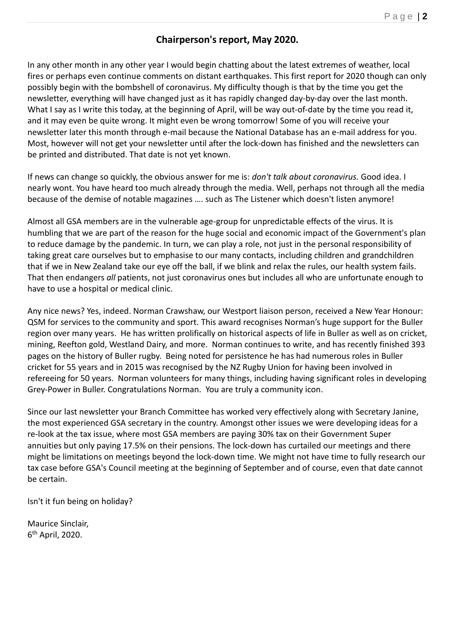# **Chairperson's report, May 2020.**

In any other month in any other year I would begin chatting about the latest extremes of weather, local fires or perhaps even continue comments on distant earthquakes. This first report for 2020 though can only possibly begin with the bombshell of coronavirus. My difficulty though is that by the time you get the newsletter, everything will have changed just as it has rapidly changed day-by-day over the last month. What I say as I write this today, at the beginning of April, will be way out-of-date by the time you read it, and it may even be quite wrong. It might even be wrong tomorrow! Some of you will receive your newsletter later this month through e-mail because the National Database has an e-mail address for you. Most, however will not get your newsletter until after the lock-down has finished and the newsletters can be printed and distributed. That date is not yet known.

If news can change so quickly, the obvious answer for me is: *don't talk about coronavirus.* Good idea. I nearly wont. You have heard too much already through the media. Well, perhaps not through all the media because of the demise of notable magazines …. such as The Listener which doesn't listen anymore!

Almost all GSA members are in the vulnerable age-group for unpredictable effects of the virus. It is humbling that we are part of the reason for the huge social and economic impact of the Government's plan to reduce damage by the pandemic. In turn, we can play a role, not just in the personal responsibility of taking great care ourselves but to emphasise to our many contacts, including children and grandchildren that if we in New Zealand take our eye off the ball, if we blink and relax the rules, our health system fails. That then endangers *all* patients, not just coronavirus ones but includes all who are unfortunate enough to have to use a hospital or medical clinic.

Any nice news? Yes, indeed. Norman Crawshaw, our Westport liaison person, received a New Year Honour: QSM for services to the community and sport. This award recognises Norman's huge support for the Buller region over many years. He has written prolifically on historical aspects of life in Buller as well as on cricket, mining, Reefton gold, Westland Dairy, and more. Norman continues to write, and has recently finished 393 pages on the history of Buller rugby. Being noted for persistence he has had numerous roles in Buller cricket for 55 years and in 2015 was recognised by the NZ Rugby Union for having been involved in refereeing for 50 years. Norman volunteers for many things, including having significant roles in developing Grey-Power in Buller. Congratulations Norman. You are truly a community icon.

Since our last newsletter your Branch Committee has worked very effectively along with Secretary Janine, the most experienced GSA secretary in the country. Amongst other issues we were developing ideas for a re-look at the tax issue, where most GSA members are paying 30% tax on their Government Super annuities but only paying 17.5% on their pensions. The lock-down has curtailed our meetings and there might be limitations on meetings beyond the lock-down time. We might not have time to fully research our tax case before GSA's Council meeting at the beginning of September and of course, even that date cannot be certain.

Isn't it fun being on holiday?

Maurice Sinclair, 6 th April, 2020.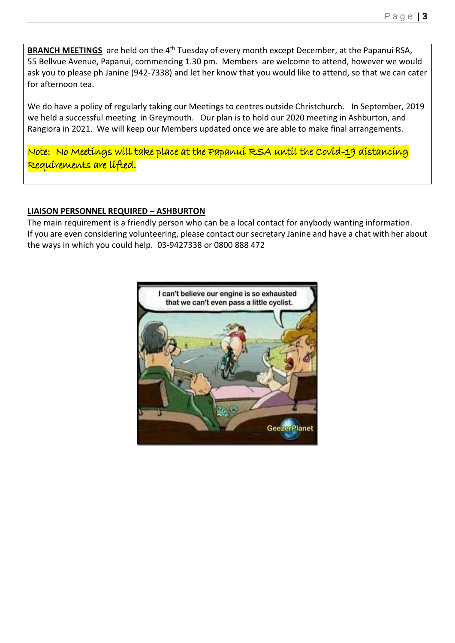**BRANCH MEETINGS** are held on the 4<sup>th</sup> Tuesday of every month except December, at the Papanui RSA, 55 Bellvue Avenue, Papanui, commencing 1.30 pm. Members are welcome to attend, however we would ask you to please ph Janine (942-7338) and let her know that you would like to attend, so that we can cater for afternoon tea.

We do have a policy of regularly taking our Meetings to centres outside Christchurch. In September, 2019 we held a successful meeting in Greymouth. Our plan is to hold our 2020 meeting in Ashburton, and Rangiora in 2021. We will keep our Members updated once we are able to make final arrangements.

Note: No Meetings will take place at the Papanui RSA until the Covid-19 distancing Requirements are lifted.

## **LIAISON PERSONNEL REQUIRED – ASHBURTON**

The main requirement is a friendly person who can be a local contact for anybody wanting information. If you are even considering volunteering, please contact our secretary Janine and have a chat with her about the ways in which you could help. 03-9427338 or 0800 888 472

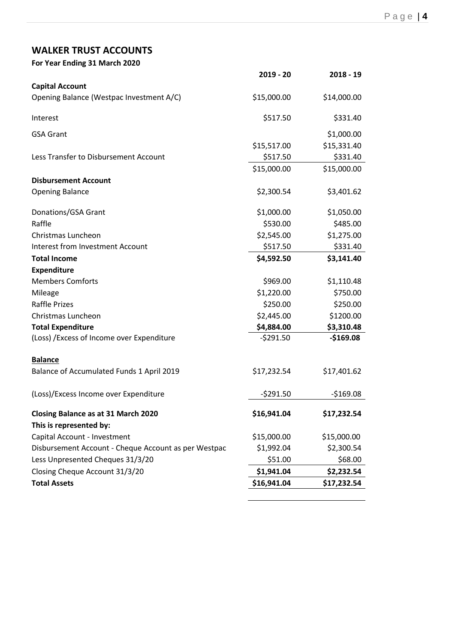# **WALKER TRUST ACCOUNTS**

| For Year Ending 31 March 2020                        |             |             |
|------------------------------------------------------|-------------|-------------|
|                                                      | $2019 - 20$ | $2018 - 19$ |
| <b>Capital Account</b>                               |             |             |
| Opening Balance (Westpac Investment A/C)             | \$15,000.00 | \$14,000.00 |
| Interest                                             | \$517.50    | \$331.40    |
| <b>GSA Grant</b>                                     |             | \$1,000.00  |
|                                                      | \$15,517.00 | \$15,331.40 |
| Less Transfer to Disbursement Account                | \$517.50    | \$331.40    |
|                                                      | \$15,000.00 | \$15,000.00 |
| <b>Disbursement Account</b>                          |             |             |
| <b>Opening Balance</b>                               | \$2,300.54  | \$3,401.62  |
| Donations/GSA Grant                                  | \$1,000.00  | \$1,050.00  |
| Raffle                                               | \$530.00    | \$485.00    |
| Christmas Luncheon                                   | \$2,545.00  | \$1,275.00  |
| <b>Interest from Investment Account</b>              | \$517.50    | \$331.40    |
| <b>Total Income</b>                                  | \$4,592.50  | \$3,141.40  |
| <b>Expenditure</b>                                   |             |             |
| <b>Members Comforts</b>                              | \$969.00    | \$1,110.48  |
| Mileage                                              | \$1,220.00  | \$750.00    |
| <b>Raffle Prizes</b>                                 | \$250.00    | \$250.00    |
| Christmas Luncheon                                   | \$2,445.00  | \$1200.00   |
| <b>Total Expenditure</b>                             | \$4,884.00  | \$3,310.48  |
| (Loss) / Excess of Income over Expenditure           | $-5291.50$  | $-$169.08$  |
| <b>Balance</b>                                       |             |             |
| Balance of Accumulated Funds 1 April 2019            | \$17,232.54 | \$17,401.62 |
| (Loss)/Excess Income over Expenditure                | $-5291.50$  | $-$169.08$  |
| <b>Closing Balance as at 31 March 2020</b>           | \$16,941.04 | \$17,232.54 |
| This is represented by:                              |             |             |
| Capital Account - Investment                         | \$15,000.00 | \$15,000.00 |
| Disbursement Account - Cheque Account as per Westpac | \$1,992.04  | \$2,300.54  |
| Less Unpresented Cheques 31/3/20                     | \$51.00     | \$68.00     |
| Closing Cheque Account 31/3/20                       | \$1,941.04  | \$2,232.54  |
| <b>Total Assets</b>                                  | \$16,941.04 | \$17,232.54 |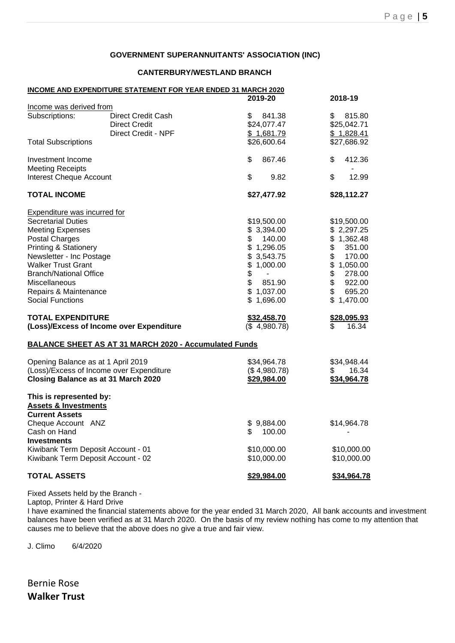#### **GOVERNMENT SUPERANNUITANTS' ASSOCIATION (INC)**

#### **CANTERBURY/WESTLAND BRANCH**

|                                                            | <b>INCOME AND EXPENDITURE STATEMENT FOR YEAR ENDED 31 MARCH 2020</b> |              |              |
|------------------------------------------------------------|----------------------------------------------------------------------|--------------|--------------|
|                                                            |                                                                      | 2019-20      | 2018-19      |
| Income was derived from                                    |                                                                      |              |              |
| Subscriptions:                                             | Direct Credit Cash                                                   | \$<br>841.38 | \$<br>815.80 |
|                                                            | Direct Credit                                                        | \$24,077.47  | \$25,042.71  |
|                                                            | Direct Credit - NPF                                                  | \$1,681.79   | \$1,828.41   |
| <b>Total Subscriptions</b>                                 |                                                                      | \$26,600.64  | \$27,686.92  |
| Investment Income                                          |                                                                      | \$<br>867.46 | \$<br>412.36 |
| <b>Meeting Receipts</b>                                    |                                                                      |              |              |
| Interest Cheque Account                                    |                                                                      | \$<br>9.82   | \$<br>12.99  |
| <b>TOTAL INCOME</b>                                        |                                                                      | \$27,477.92  | \$28,112.27  |
| <b>Expenditure was incurred for</b>                        |                                                                      |              |              |
| <b>Secretarial Duties</b>                                  |                                                                      | \$19,500.00  | \$19,500.00  |
| <b>Meeting Expenses</b>                                    |                                                                      | \$3,394.00   | \$2,297.25   |
| <b>Postal Charges</b>                                      |                                                                      | \$<br>140.00 | \$1,362.48   |
| <b>Printing &amp; Stationery</b>                           |                                                                      | \$1,296.05   | \$<br>351.00 |
| Newsletter - Inc Postage                                   |                                                                      | \$3,543.75   | \$<br>170.00 |
| <b>Walker Trust Grant</b>                                  |                                                                      | \$1,000.00   | \$1,050.00   |
| <b>Branch/National Office</b>                              |                                                                      | \$           | \$<br>278.00 |
| Miscellaneous                                              |                                                                      | \$<br>851.90 | \$<br>922.00 |
| Repairs & Maintenance                                      |                                                                      | \$1,037.00   | \$<br>695.20 |
| <b>Social Functions</b>                                    |                                                                      | \$1,696.00   | \$1,470.00   |
| <b>TOTAL EXPENDITURE</b>                                   |                                                                      | \$32,458.70  | \$28,095.93  |
|                                                            | (Loss)/Excess of Income over Expenditure                             | (\$4,980.78) | \$.<br>16.34 |
|                                                            | <b>BALANCE SHEET AS AT 31 MARCH 2020 - Accumulated Funds</b>         |              |              |
| Opening Balance as at 1 April 2019                         |                                                                      | \$34,964.78  | \$34,948.44  |
| (Loss)/Excess of Income over Expenditure                   |                                                                      | (\$4,980.78) | 16.34<br>\$  |
| Closing Balance as at 31 March 2020                        |                                                                      | \$29,984.00  | \$34,964.78  |
| This is represented by:<br><b>Assets &amp; Investments</b> |                                                                      |              |              |
| <b>Current Assets</b>                                      |                                                                      |              |              |
| Cheque Account ANZ                                         |                                                                      | \$9,884.00   | \$14,964.78  |
| Cash on Hand                                               |                                                                      | 100.00<br>S  |              |
| <b>Investments</b>                                         |                                                                      |              |              |
| Kiwibank Term Deposit Account - 01                         |                                                                      | \$10,000.00  | \$10,000.00  |
|                                                            |                                                                      |              |              |
| Kiwibank Term Deposit Account - 02                         |                                                                      | \$10,000.00  | \$10,000.00  |
| <b>TOTAL ASSETS</b>                                        |                                                                      | \$29,984.00  | \$34,964.78  |

Fixed Assets held by the Branch -

Laptop, Printer & Hard Drive

I have examined the financial statements above for the year ended 31 March 2020, All bank accounts and investment balances have been verified as at 31 March 2020. On the basis of my review nothing has come to my attention that causes me to believe that the above does no give a true and fair view.

J. Climo 6/4/2020

Bernie Rose **Walker Trust**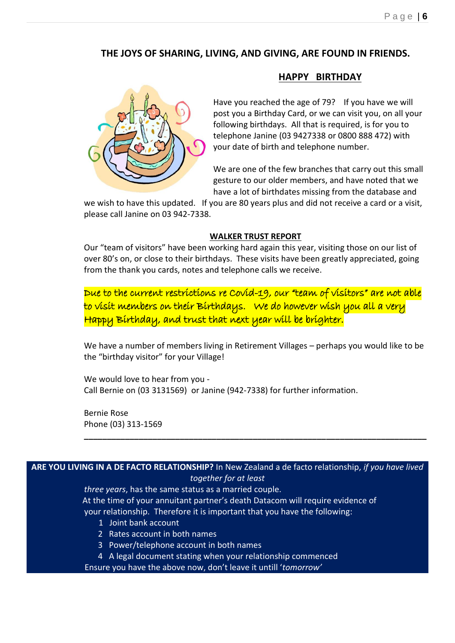# **THE JOYS OF SHARING, LIVING, AND GIVING, ARE FOUND IN FRIENDS.**



Have you reached the age of 79? If you have we will post you a Birthday Card, or we can visit you, on all your following birthdays. All that is required, is for you to telephone Janine (03 9427338 or 0800 888 472) with your date of birth and telephone number.

**HAPPY BIRTHDAY**

We are one of the few branches that carry out this small gesture to our older members, and have noted that we have a lot of birthdates missing from the database and

we wish to have this updated. If you are 80 years plus and did not receive a card or a visit, please call Janine on 03 942-7338.

#### **WALKER TRUST REPORT**

Our "team of visitors" have been working hard again this year, visiting those on our list of over 80's on, or close to their birthdays. These visits have been greatly appreciated, going from the thank you cards, notes and telephone calls we receive.

Due to the current restrictions re Covid-19, our "team of visitors" are not able to visit members on their Birthdays. We do however wish you all a very Happy Birthday, and trust that next year will be brighter.

We have a number of members living in Retirement Villages – perhaps you would like to be the "birthday visitor" for your Village!

**\_\_\_\_\_\_\_\_\_\_\_\_\_\_\_\_\_\_\_\_\_\_\_\_\_\_\_\_\_\_\_\_\_\_\_\_\_\_\_\_\_\_\_\_\_\_\_\_\_\_\_\_\_\_\_\_\_\_\_\_\_\_\_\_\_\_\_\_\_\_\_\_\_\_\_**

We would love to hear from you - Call Bernie on (03 3131569) or Janine (942-7338) for further information.

Bernie Rose Phone (03) 313-1569

# **ARE YOU LIVING IN A DE FACTO RELATIONSHIP?** In New Zealand a de facto relationship, *if you have lived*

*together for at least*

 *three years*, has the same status as a married couple. At the time of your annuitant partner's death Datacom will require evidence of your relationship. Therefore it is important that you have the following:

- 1 Joint bank account
- 2 Rates account in both names
- 3 Power/telephone account in both names
- 4 A legal document stating when your relationship commenced

Ensure you have the above now, don't leave it untill '*tomorrow'*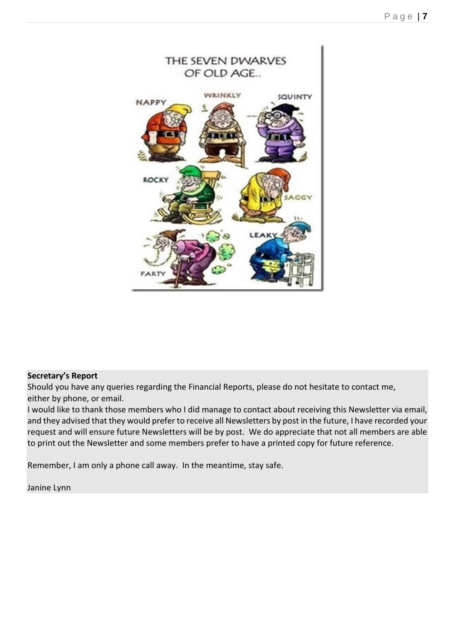

#### **Secretary's Report**

Should you have any queries regarding the Financial Reports, please do not hesitate to contact me, either by phone, or email.

I would like to thank those members who I did manage to contact about receiving this Newsletter via email, and they advised that they would prefer to receive all Newsletters by post in the future, I have recorded your request and will ensure future Newsletters will be by post. We do appreciate that not all members are able to print out the Newsletter and some members prefer to have a printed copy for future reference.

Remember, I am only a phone call away. In the meantime, stay safe.

Janine Lynn